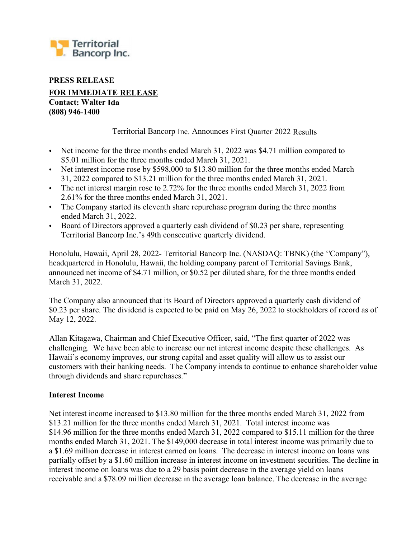

# PRESS RELEASE FOR IMMEDIATE RELEASE Contact: Walter Ida (808) 946-1400

Territorial Bancorp Inc. Announces First Quarter 2022 Results

- Net income for the three months ended March 31, 2022 was \$4.71 million compared to \$5.01 million for the three months ended March 31, 2021.
- Net interest income rose by \$598,000 to \$13.80 million for the three months ended March 31, 2022 compared to \$13.21 million for the three months ended March 31, 2021.
- The net interest margin rose to 2.72% for the three months ended March 31, 2022 from 2.61% for the three months ended March 31, 2021.
- The Company started its eleventh share repurchase program during the three months ended March 31, 2022.
- Board of Directors approved a quarterly cash dividend of \$0.23 per share, representing Territorial Bancorp Inc.'s 49th consecutive quarterly dividend.

Honolulu, Hawaii, April 28, 2022- Territorial Bancorp Inc. (NASDAQ: TBNK) (the ''Company"), headquartered in Honolulu, Hawaii, the holding company parent of Territorial Savings Bank, announced net income of \$4.71 million, or \$0.52 per diluted share, for the three months ended March 31, 2022.

The Company also announced that its Board of Directors approved a quarterly cash dividend of \$0.23 per share. The dividend is expected to be paid on May 26, 2022 to stockholders of record as of May 12, 2022.

Allan Kitagawa, Chairman and Chief Executive Officer, said, "The first quarter of 2022 was challenging. We have been able to increase our net interest income despite these challenges. As Hawaii's economy improves, our strong capital and asset quality will allow us to assist our customers with their banking needs. The Company intends to continue to enhance shareholder value through dividends and share repurchases."

### Interest Income

Net interest income increased to \$13.80 million for the three months ended March 31, 2022 from \$13.21 million for the three months ended March 31, 2021. Total interest income was \$14.96 million for the three months ended March 31, 2022 compared to \$15.11 million for the three months ended March 31, 2021. The \$149,000 decrease in total interest income was primarily due to a \$1.69 million decrease in interest earned on loans. The decrease in interest income on loans was partially offset by a \$1.60 million increase in interest income on investment securities. The decline in interest income on loans was due to a 29 basis point decrease in the average yield on loans receivable and a \$78.09 million decrease in the average loan balance. The decrease in the average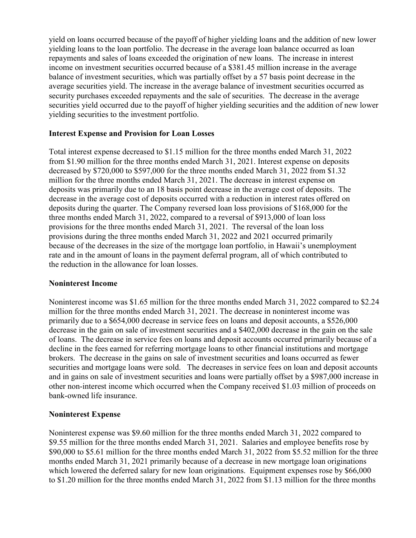yield on loans occurred because of the payoff of higher yielding loans and the addition of new lower yielding loans to the loan portfolio. The decrease in the average loan balance occurred as loan repayments and sales of loans exceeded the origination of new loans. The increase in interest income on investment securities occurred because of a \$381.45 million increase in the average balance of investment securities, which was partially offset by a 57 basis point decrease in the average securities yield. The increase in the average balance of investment securities occurred as security purchases exceeded repayments and the sale of securities. The decrease in the average securities yield occurred due to the payoff of higher yielding securities and the addition of new lower yielding securities to the investment portfolio.

## Interest Expense and Provision for Loan Losses

Total interest expense decreased to \$1.15 million for the three months ended March 31, 2022 from \$1.90 million for the three months ended March 31, 2021. Interest expense on deposits decreased by \$720,000 to \$597,000 for the three months ended March 31, 2022 from \$1.32 million for the three months ended March 31, 2021. The decrease in interest expense on deposits was primarily due to an 18 basis point decrease in the average cost of deposits. The decrease in the average cost of deposits occurred with a reduction in interest rates offered on deposits during the quarter. The Company reversed loan loss provisions of \$168,000 for the three months ended March 31, 2022, compared to a reversal of \$913,000 of loan loss provisions for the three months ended March 31, 2021. The reversal of the loan loss provisions during the three months ended March 31, 2022 and 2021 occurred primarily because of the decreases in the size of the mortgage loan portfolio, in Hawaii's unemployment rate and in the amount of loans in the payment deferral program, all of which contributed to the reduction in the allowance for loan losses.

### Noninterest Income

Noninterest income was \$1.65 million for the three months ended March 31, 2022 compared to \$2.24 million for the three months ended March 31, 2021. The decrease in noninterest income was primarily due to a \$654,000 decrease in service fees on loans and deposit accounts, a \$526,000 decrease in the gain on sale of investment securities and a \$402,000 decrease in the gain on the sale of loans. The decrease in service fees on loans and deposit accounts occurred primarily because of a decline in the fees earned for referring mortgage loans to other financial institutions and mortgage brokers. The decrease in the gains on sale of investment securities and loans occurred as fewer securities and mortgage loans were sold. The decreases in service fees on loan and deposit accounts and in gains on sale of investment securities and loans were partially offset by a \$987,000 increase in other non-interest income which occurred when the Company received \$1.03 million of proceeds on bank-owned life insurance.

## Noninterest Expense

Noninterest expense was \$9.60 million for the three months ended March 31, 2022 compared to \$9.55 million for the three months ended March 31, 2021. Salaries and employee benefits rose by \$90,000 to \$5.61 million for the three months ended March 31, 2022 from \$5.52 million for the three months ended March 31, 2021 primarily because of a decrease in new mortgage loan originations which lowered the deferred salary for new loan originations. Equipment expenses rose by \$66,000 to \$1.20 million for the three months ended March 31, 2022 from \$1.13 million for the three months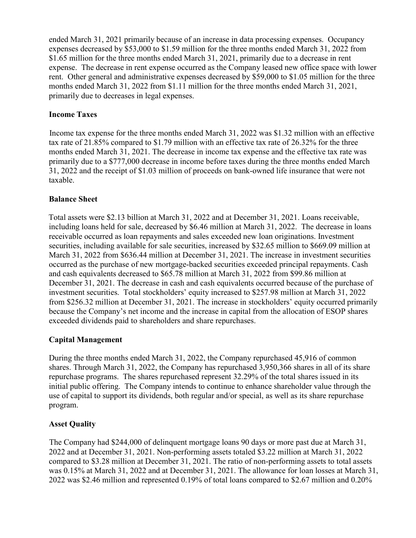ended March 31, 2021 primarily because of an increase in data processing expenses. Occupancy expenses decreased by \$53,000 to \$1.59 million for the three months ended March 31, 2022 from \$1.65 million for the three months ended March 31, 2021, primarily due to a decrease in rent expense. The decrease in rent expense occurred as the Company leased new office space with lower rent. Other general and administrative expenses decreased by \$59,000 to \$1.05 million for the three months ended March 31, 2022 from \$1.11 million for the three months ended March 31, 2021, primarily due to decreases in legal expenses.

## Income Taxes

Income tax expense for the three months ended March 31, 2022 was \$1.32 million with an effective tax rate of 21.85% compared to \$1.79 million with an effective tax rate of 26.32% for the three months ended March 31, 2021. The decrease in income tax expense and the effective tax rate was primarily due to a \$777,000 decrease in income before taxes during the three months ended March 31, 2022 and the receipt of \$1.03 million of proceeds on bank-owned life insurance that were not taxable.

## Balance Sheet

Total assets were \$2.13 billion at March 31, 2022 and at December 31, 2021. Loans receivable, including loans held for sale, decreased by \$6.46 million at March 31, 2022. The decrease in loans receivable occurred as loan repayments and sales exceeded new loan originations. Investment securities, including available for sale securities, increased by \$32.65 million to \$669.09 million at March 31, 2022 from \$636.44 million at December 31, 2021. The increase in investment securities occurred as the purchase of new mortgage-backed securities exceeded principal repayments. Cash and cash equivalents decreased to \$65.78 million at March 31, 2022 from \$99.86 million at December 31, 2021. The decrease in cash and cash equivalents occurred because of the purchase of investment securities. Total stockholders' equity increased to \$257.98 million at March 31, 2022 from \$256.32 million at December 31, 2021. The increase in stockholders' equity occurred primarily because the Company's net income and the increase in capital from the allocation of ESOP shares exceeded dividends paid to shareholders and share repurchases.

### Capital Management

During the three months ended March 31, 2022, the Company repurchased 45,916 of common shares. Through March 31, 2022, the Company has repurchased 3,950,366 shares in all of its share repurchase programs. The shares repurchased represent 32.29% of the total shares issued in its initial public offering. The Company intends to continue to enhance shareholder value through the use of capital to support its dividends, both regular and/or special, as well as its share repurchase program.

## Asset Quality

The Company had \$244,000 of delinquent mortgage loans 90 days or more past due at March 31, 2022 and at December 31, 2021. Non-performing assets totaled \$3.22 million at March 31, 2022 compared to \$3.28 million at December 31, 2021. The ratio of non-performing assets to total assets was 0.15% at March 31, 2022 and at December 31, 2021. The allowance for loan losses at March 31, 2022 was \$2.46 million and represented 0.19% of total loans compared to \$2.67 million and 0.20%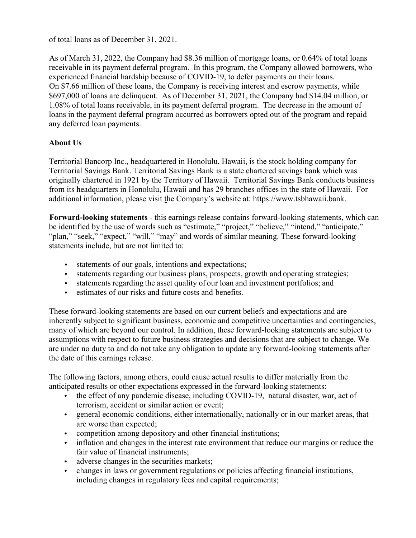of total loans as of December 31, 2021.

As of March 31, 2022, the Company had \$8.36 million of mortgage loans, or 0.64% of total loans receivable in its payment deferral program. In this program, the Company allowed borrowers, who experienced financial hardship because of COVID-19, to defer payments on their loans. On \$7.66 million of these loans, the Company is receiving interest and escrow payments, while \$697,000 of loans are delinquent. As of December 31, 2021, the Company had \$14.04 million, or 1.08% of total loans receivable, in its payment deferral program. The decrease in the amount of loans in the payment deferral program occurred as borrowers opted out of the program and repaid any deferred loan payments.

## About Us

Territorial Bancorp Inc., headquartered in Honolulu, Hawaii, is the stock holding company for Territorial Savings Bank. Territorial Savings Bank is a state chartered savings bank which was originally chartered in 1921 by the Territory of Hawaii. Territorial Savings Bank conducts business from its headquarters in Honolulu, Hawaii and has 29 branches offices in the state of Hawaii. For additional information, please visit the Company's website at: https://www.tsbhawaii.bank.

Forward-looking statements - this earnings release contains forward-looking statements, which can be identified by the use of words such as "estimate," "project," "believe," "intend," "anticipate," "plan," "seek," "expect," "will," "may" and words of similar meaning. These forward-looking statements include, but are not limited to:

- statements of our goals, intentions and expectations;
- statements regarding our business plans, prospects, growth and operating strategies;
- statements regarding the asset quality of our loan and investment portfolios; and
- estimates of our risks and future costs and benefits.

These forward-looking statements are based on our current beliefs and expectations and are inherently subject to significant business, economic and competitive uncertainties and contingencies, many of which are beyond our control. In addition, these forward-looking statements are subject to assumptions with respect to future business strategies and decisions that are subject to change. We are under no duty to and do not take any obligation to update any forward-looking statements after the date of this earnings release.

The following factors, among others, could cause actual results to differ materially from the anticipated results or other expectations expressed in the forward-looking statements:

- the effect of any pandemic disease, including COVID-19, natural disaster, war, act of terrorism, accident or similar action or event;
- general economic conditions, either internationally, nationally or in our market areas, that are worse than expected;
- competition among depository and other financial institutions;
- inflation and changes in the interest rate environment that reduce our margins or reduce the fair value of financial instruments;
- adverse changes in the securities markets;
- changes in laws or government regulations or policies affecting financial institutions, including changes in regulatory fees and capital requirements;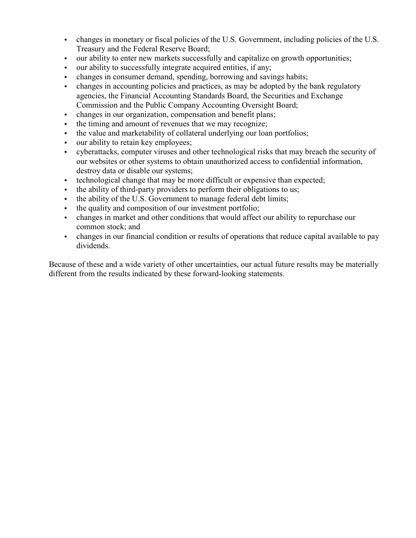- changes in monetary or fiscal policies of the U.S. Government, including policies of the U.S. Treasury and the Federal Reserve Board;
- our ability to enter new markets successfully and capitalize on growth opportunities;
- our ability to successfully integrate acquired entities, if any;
- changes in consumer demand, spending, borrowing and savings habits;
- changes in accounting policies and practices, as may be adopted by the bank regulatory agencies, the Financial Accounting Standards Board, the Securities and Exchange Commission and the Public Company Accounting Oversight Board;
- changes in our organization, compensation and benefit plans;
- the timing and amount of revenues that we may recognize;
- the value and marketability of collateral underlying our loan portfolios;
- our ability to retain key employees;
- cyberattacks, computer viruses and other technological risks that may breach the security of our websites or other systems to obtain unauthorized access to confidential information, destroy data or disable our systems;
- technological change that may be more difficult or expensive than expected;
- the ability of third-party providers to perform their obligations to us;
- the ability of the U.S. Government to manage federal debt limits;
- the quality and composition of our investment portfolio;
- changes in market and other conditions that would affect our ability to repurchase our common stock; and
- changes in our financial condition or results of operations that reduce capital available to pay dividends.

Because of these and a wide variety of other uncertainties, our actual future results may be materially different from the results indicated by these forward-looking statements.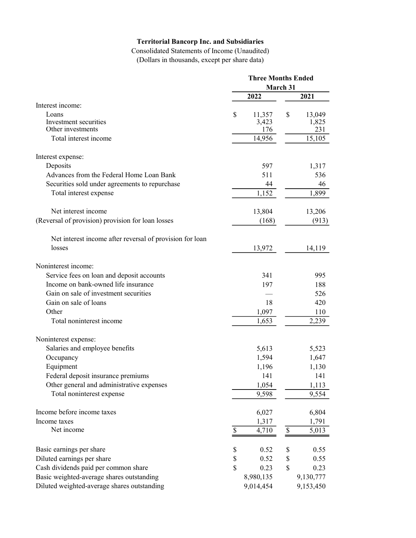## Territorial Bancorp Inc. and Subsidiaries

Consolidated Statements of Income (Unaudited) (Dollars in thousands, except per share data)

|                                                          | <b>Three Months Ended</b> |              |  |
|----------------------------------------------------------|---------------------------|--------------|--|
|                                                          |                           | March 31     |  |
|                                                          | 2022                      | 2021         |  |
| Interest income:                                         |                           |              |  |
| Loans                                                    | \$<br>11,357              | \$<br>13,049 |  |
| Investment securities                                    | 3,423                     | 1,825        |  |
| Other investments                                        | 176                       | 231          |  |
| Total interest income                                    | 14,956                    | 15,105       |  |
| Interest expense:                                        |                           |              |  |
| Deposits                                                 | 597                       | 1,317        |  |
| Advances from the Federal Home Loan Bank                 | 511                       | 536          |  |
| Securities sold under agreements to repurchase           | 44                        | 46           |  |
| Total interest expense                                   | 1,152                     | 1,899        |  |
|                                                          |                           |              |  |
| Net interest income                                      | 13,804                    | 13,206       |  |
| (Reversal of provision) provision for loan losses        | (168)                     | (913)        |  |
|                                                          |                           |              |  |
| Net interest income after reversal of provision for loan |                           |              |  |
| losses                                                   | 13,972                    | 14,119       |  |
|                                                          |                           |              |  |
| Noninterest income:                                      |                           |              |  |
| Service fees on loan and deposit accounts                | 341                       | 995          |  |
| Income on bank-owned life insurance                      | 197                       | 188          |  |
| Gain on sale of investment securities                    |                           | 526          |  |
| Gain on sale of loans                                    | 18                        | 420          |  |
| Other                                                    | 1,097                     | 110          |  |
| Total noninterest income                                 | 1,653                     | 2,239        |  |
| Noninterest expense:                                     |                           |              |  |
| Salaries and employee benefits                           | 5,613                     | 5,523        |  |
| Occupancy                                                | 1,594                     | 1,647        |  |
| Equipment                                                | 1,196                     | 1,130        |  |
| Federal deposit insurance premiums                       | 141                       | 141          |  |
| Other general and administrative expenses                | 1,054                     | 1,113        |  |
| Total noninterest expense                                | 9,598                     | 9,554        |  |
|                                                          |                           |              |  |
| Income before income taxes                               | 6,027                     | 6,804        |  |
| Income taxes                                             | 1,317                     | 1,791        |  |
| Net income                                               | \$<br>4,710               | \$<br>5,013  |  |
|                                                          |                           |              |  |
| Basic earnings per share                                 | \$<br>0.52                | \$<br>0.55   |  |
| Diluted earnings per share                               | 0.52<br>\$                | \$<br>0.55   |  |
| Cash dividends paid per common share                     | \$<br>0.23                | \$<br>0.23   |  |
| Basic weighted-average shares outstanding                | 8,980,135                 | 9,130,777    |  |
| Diluted weighted-average shares outstanding              | 9,014,454                 | 9,153,450    |  |
|                                                          |                           |              |  |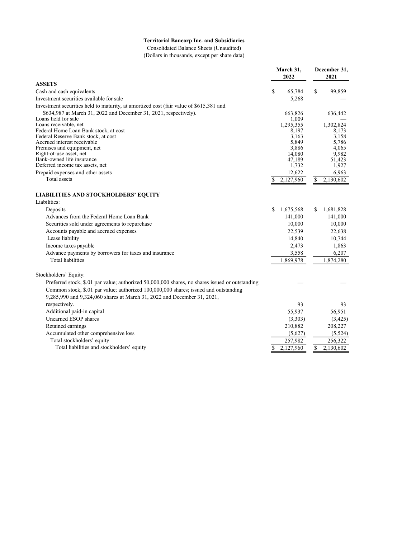#### Territorial Bancorp Inc. and Subsidiaries

Consolidated Balance Sheets (Unaudited) (Dollars in thousands, except per share data)

|                                                                                                 | March 31,<br>2022 |    | December 31,<br>2021 |
|-------------------------------------------------------------------------------------------------|-------------------|----|----------------------|
| <b>ASSETS</b>                                                                                   |                   |    |                      |
| Cash and cash equivalents                                                                       | \$<br>65,784      | \$ | 99,859               |
| Investment securities available for sale                                                        | 5,268             |    |                      |
| Investment securities held to maturity, at amortized cost (fair value of \$615,381 and          |                   |    |                      |
| \$634,987 at March 31, 2022 and December 31, 2021, respectively).                               | 663,826           |    | 636,442              |
| Loans held for sale                                                                             | 1.009             |    |                      |
| Loans receivable, net                                                                           | 1,295,355         |    | 1,302,824            |
| Federal Home Loan Bank stock, at cost<br>Federal Reserve Bank stock, at cost                    | 8.197<br>3,163    |    | 8,173                |
| Accrued interest receivable                                                                     | 5,849             |    | 3,158<br>5,786       |
| Premises and equipment, net                                                                     | 3,886             |    | 4,065                |
| Right-of-use asset, net                                                                         | 14,080            |    | 9,982                |
| Bank-owned life insurance                                                                       | 47,189            |    | 51,423               |
| Deferred income tax assets, net                                                                 | 1,732             |    | 1,927                |
| Prepaid expenses and other assets                                                               | 12,622            |    | 6.963                |
| Total assets                                                                                    | \$<br>2,127,960   | \$ | 2,130,602            |
| <b>LIABILITIES AND STOCKHOLDERS' EQUITY</b>                                                     |                   |    |                      |
| Liabilities:                                                                                    |                   |    |                      |
| Deposits                                                                                        | \$<br>1,675,568   | S  | 1,681,828            |
| Advances from the Federal Home Loan Bank                                                        | 141,000           |    | 141,000              |
| Securities sold under agreements to repurchase                                                  | 10,000            |    | 10,000               |
| Accounts payable and accrued expenses                                                           | 22,539            |    | 22,638               |
| Lease liability                                                                                 | 14,840            |    | 10,744               |
| Income taxes payable                                                                            |                   |    | 1,863                |
|                                                                                                 | 2,473             |    |                      |
| Advance payments by borrowers for taxes and insurance                                           | 3,558             |    | 6,207                |
| <b>Total liabilities</b>                                                                        | 1,869,978         |    | 1,874,280            |
| Stockholders' Equity:                                                                           |                   |    |                      |
| Preferred stock, \$.01 par value; authorized 50,000,000 shares, no shares issued or outstanding |                   |    |                      |
| Common stock, \$.01 par value; authorized 100,000,000 shares; issued and outstanding            |                   |    |                      |
| 9,285,990 and 9,324,060 shares at March 31, 2022 and December 31, 2021,                         |                   |    |                      |
| respectively.                                                                                   | 93                |    | 93                   |
| Additional paid-in capital                                                                      | 55,937            |    | 56,951               |
| Unearned ESOP shares                                                                            | (3,303)           |    | (3,425)              |
|                                                                                                 |                   |    |                      |
| Retained earnings                                                                               | 210,882           |    | 208,227              |
| Accumulated other comprehensive loss                                                            | (5,627)           |    | (5,524)              |
| Total stockholders' equity                                                                      | 257,982           |    | 256,322              |
| Total liabilities and stockholders' equity                                                      | \$<br>2,127,960   | \$ | 2,130,602            |